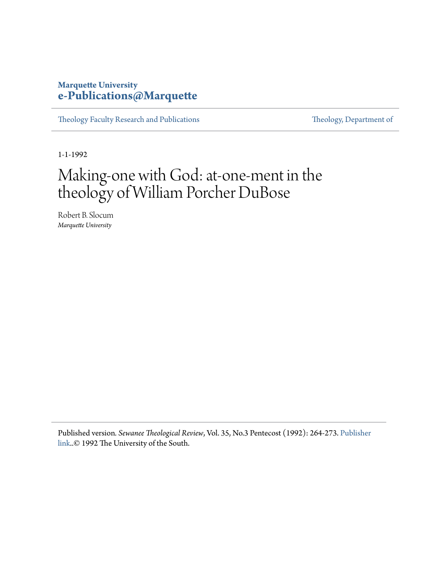## **Marquette University [e-Publications@Marquette](https://epublications.marquette.edu)**

[Theology Faculty Research and Publications](https://epublications.marquette.edu/theo_fac) [Theology, Department of](https://epublications.marquette.edu/Theology)

1-1-1992

# Making-one with God: at-one-ment in the theology of William Porcher DuBose

Robert B. Slocum *Marquette University*

Published version*. Sewanee Theological Review*, Vol. 35, No.3 Pentecost (1992): 264-273. [Publisher](http://theology.sewanee.edu/seminary/media/publications/sewanee-theological-review/) [link](http://theology.sewanee.edu/seminary/media/publications/sewanee-theological-review/)..© 1992 The University of the South.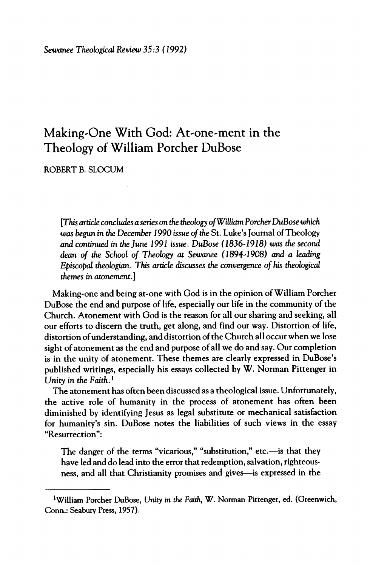## **MakingOne With God: At'0ne ment in the Theology of William Porcher DuBose**

ROBERT B. SLOCUM

*[ThisarticleconclàsasâsontheàobgyofWilkmPorcherDuBosewhich was* begun *in the December 1990 issue ofthe* St. Luke's Journal ofTheology *and continued* in the June 1991 issue. DuBose (1836-1918) was the second *dean of the* School *of* Theology at Sewanee (1894-1908) and a leading Episcopal theologian. This article discusses the convergence of his theological *themes in atonement.* 

Making-one and being at-one with God is in the opinion of William Porcher DuBose the end and purpose of life, especially our life in the community of the Church. Atonement with God is the reason for all our sharing and seeking, all our efforts to discern the truth, get along, and find our way. Distortion of life, distortion of understanding, and distortion of the Church all occur when we lose sight of atonement as the end and purpose of all we do and say. Our completion is in the unity of atonement. These themes are clearly expressed in DuBose's published writings, especially his essays collected by **w.** Norman Pittenger in *Unity in the* Faith.!

The atonement has often been discussed as a theological issue. Unfortunately, the active role of humanity in the process of atonement has often been diminished by identifying Jesus as legal substitute or mechanical satisfaction for humanity's sin. DuBose notes the liabilities of such views in the essay "Resurrection":

The danger of the terms "vicarious," "substitution," etc.—is that they have led and do lead into the error that redemption, salvation, righteousness, and all that Christianity promises and gives-is expressed in the

William Porcher DuBose, *Unity in the* Faith, w. Norman Pittenger, ed. (Greenwich, Conn.: Seabury Press, 1957).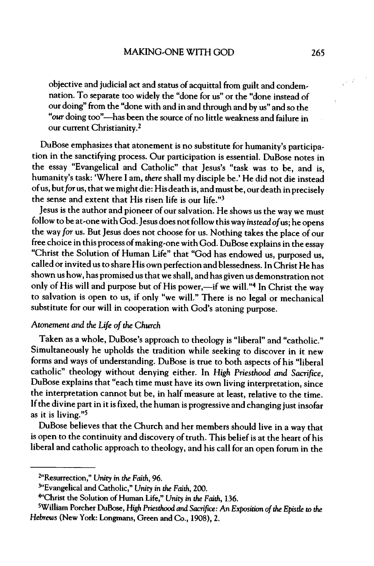objective and judicial act and status of acquittal from guilt and condem nation. To separate too widely the "done for us" or the "done instead of our doing" from the "done with and in and through and by us" and so the "our doing too"—has been the source of no little weakness and failure in our current Christianity.<sup>2</sup>

DuBose emphasizes that atonement is no substitute for humanity's participa tion in the sanctifying process. Our participation is essential. DuBose notes in the essay "Evangelical and Catholic" that Jesus's "task was to be, and is, humanity's task: 'Where I am, *there* shall my disciple be.' He did not die instead of us, but for us, that we might die: His death is, and must be, our death in precisely the sense and extent that His risen life is our life." $3$ 

lesus is the author and pioneer of our salvation. He shows us the way we must follow to be at-one with God. Jesus does not follow this way *instead of* us; he opens the way *for* **US.** But Jesus does not choose for **US.** Nothing takes the place of our free choice in this process of making-one with God. DuBose explains in the essay "Christ the Solution of Human Life" that "God has endowed **US,** purposed **US,** called or invited us to share His own perfection and blessedness. In Christ He has shown us how, has promised **US** that we shall, and has given **US** demonstration not only of His will and purpose but of His power,—if we will."4 In Christ the way to salvation is open to **US,** if only "we will." There is no legal or mechanical substitute for our will in cooperation with God's atoning purpose.

#### Atonement *and* the *Life of the Church*

Taken as a whole, DuBose's approach to theology is "liberal" and "catholic." Simultaneously he upholds the tradition while seeking to discover in it new forms and ways of understanding. DuBose is true to both aspects of his "liberal catholic" theology without denying either. In *High Priesthood and Sacrifice*, DuBose explains that "each time must have its own living interpretation, since the interpretation cannot but be, in half measure at least, relative to the time. Ifthe divine part in it is fixed, the human is progressive and changing just insofar as it is living."3

DuBose believes that the Church and her members should live in a way that is open to the continuity and discovery of truth. This belief is at the heart of his liberal and catholic approach to theology, and his call for an open forum in the

<sup>2&</sup>quot;Resurrection," *Unity in the Faith)* 96.

<sup>&</sup>lt;sup>3"</sup>Evangelical and Catholic," Unity in the Faith, 200.

<sup>.&#</sup>x27;Christ the Solution ofHuman Life," *Unity in the Faith)* 156.

<sup>3</sup>William Porcher DuBose, *High Priesthood and Sacrifice: An Exposià ofthe Epistle* to *the Hebrews* (New York: l^ngmans. Green and Co., 1908), 2.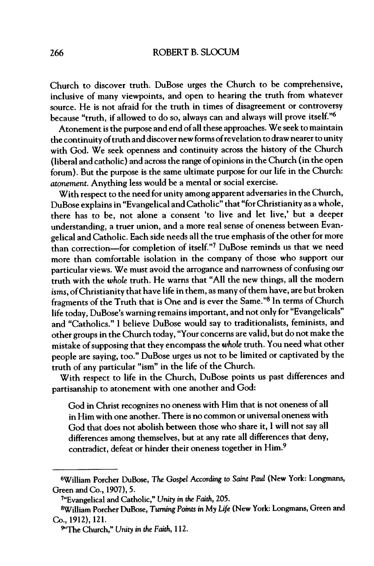Church to discover truth. DuBose urges the Church to be comprehensive, inclusive of many viewpoints, and open to hearing the truth from whatever source. He is not afraid for the truth in times of disagreement or controversy because "truth, if allowed to do so, always can and always will prove itself."<sup>6</sup>

Atonement is the purpose and end ofall these approaches. We seek to maintain the continuity of truth and discover new forms of revelation to draw nearer to unity with God. We seek openness and continuity across the history of the Church (liberal and catholic) and across the range of opinions in the Church (in the open forum). But the purpose is the same ultimate purpose for our life in the Church: *atonement* Anything less would be a mental or social exercise.

With respect to the need for unity among apparent adversaries in the Church, DuBose explains in "Evangelical andCatholic" that "forChristianity asawhole, there has to be, not alone a consent 'to live and let live,' but a deeper understanding, a truer union, and a more real sense of oneness between Evan gelical and Catholic. Each side needs all the true emphasis of the other for more than correction-for completion of itself."7 DuBose reminds us that we need more than comfortable isolation in the company of those who support our particular views. We must avoid the arrogance and narrowness of confusing our truth with the *whole* truth. He warns that "All the new things, all the modern isms, of Christianity that have life in them, as many of them have, are but broken fragments of the Truth that is One and is ever the Same."<sup>8</sup> In terms of Church life today, DuBose's warning remains important, and not only for "Evangelicals" and "Catholics." I believe DuBose would say to traditionalists, feminists, and other groups in the Church today, "Your concerns are valid, but do not make the mistake ofsupposing that they encompass the *whole* truth. You need what other people are saying, too." DuBose urges us not to be limited or captivated by the truth of any particular "ism" in the life of the Church.

With respect to life in the Church, DuBose points us past differences and partisanship to atonement with one another and God:

God in Christ recognizes no oneness with Him that is not oneness of all in Him with one another. There is no common or universal oneness with God that does not abolish between those who share it, I will not say all differences among themselves, but at any rate all differences that deny, contradict, defeat or hinder their oneness together in Him.<sup>9</sup>

William Porcher DuBose, *The Gospel According to* Saint *Paul* (New York: Longmans, Green and Co., 1907), 5.

<sup>&</sup>lt;sup>7</sup>"Evangelical and Catholic," Unity in the Faith, 205.

<sup>»</sup>William Porcher DuBose, *Turning Points in* My *Life* (New York: Longmans, Green and Co., 1912), 121.

<sup>9</sup> The Church," *Unity in the* Faith, 112.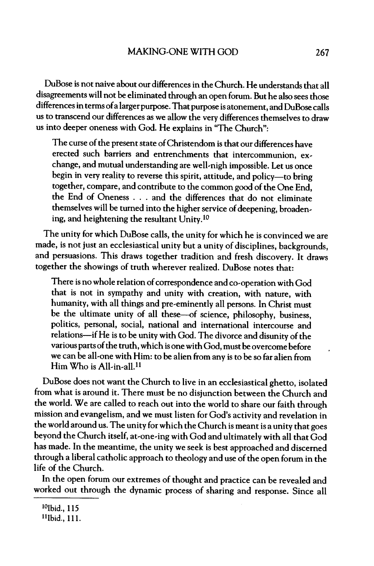DuBose is not naive about our differences in the Church. He understandsthat all disagreements will not be eliminated through an open forum. But he also sees those differences in terms of a larger purpose. That purpose is atonement, and DuBose calls us to transcend our differences as we allow the very differences themselves to draw us into deeper oneness with God. He explains in "The Church"

The curse of the present state of Christendom is that our differences have erected such barriers and entrenchments that intercommunion, ex change, and mutual understanding are well-nigh impossible. Let us once begin in very reality to reverse this spirit, attitude, and policy-to bring together, compare, and contribute to the common good of the One End, the End of Oneness  $\ldots$  and the differences that do not eliminate themselves will be turned into the higher service of deepening, broadening, and heightening the resultant Unity. <sup>10</sup>

The unity for which DuBose calls, the unity for which he is convinced we are made, is not just an ecclesiastical unity but a unity of disciplines, backgrounds, and persuasions. This draws together tradition and fresh discovery. It draws together the showings of truth wherever realized. DuBose notes that

There is no whole relation of correspondence and co-operation with God that is not in sympathy and unity with creation, with nature, with humanity, with all things and pre eminently all persons. In Christ must be the ultimate unity of all these—of science, philosophy, business, politics, personal, social, national and international intercourse and relations—if He is to be unity with God. The divorce and disunity of the various parts of the truth, which is one with God, must be overcome before we can be all-one with Him: to be alien from any is to be so far alien from Him Who is All-in-all.<sup>11</sup>

DuBose does not want the Church to live in an ecclesiastical ghetto, isolated from what is around it. There must be no disjunction between the Church and the world. We are called to reach out into the world to share our faith through mission and evangelism, and we must listen for God's activity and revelation in the world around **US.** The unity for which the Church is meant is a unity that goes beyond the Church itself, at-one-ing with God and ultimately with all that God has made. In the meantime, the unity we seek is best approached and discerned through a liberal catholic approach to theology and use of the open forum in the life of the Church.

In the open forum our extremes of thought and practice can be revealed and worked out through the dynamic process of sharing and response. Since all

<sup>10&</sup>lt;sub>Ibid.</sub>, 115

<sup>!!!</sup>bid.. 111.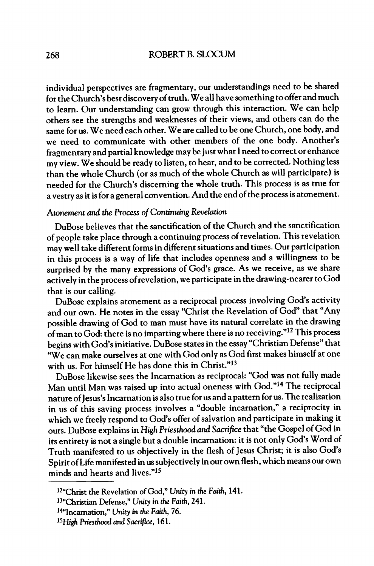individual perspectives are fragmentary, our understandings need to be shared for the Church's best discovery of truth. We all have something to offer and much to learn. Our understanding can grow through this interaction. We can help others see the strengths and weaknesses of their views, and others can do the same for us. We need each other. We are called to be one Church, one body, and we need to communicate with other members of the one body. Another's fragmentary and partial knowledge may be just what <sup>1</sup> need to correct or enhance my view. We should be ready to listen, to hear, and to be corrected. Nothing less than the whole Church (or as much of the whole Church as will participate) is needed for the Church's discerning the whole truth. This process is as true for a vestry as it isfor a general convention. And the end ofthe process is atonement.

#### Atonement *and the* Process **<sup>0</sup>**/*Continuing Revelation*

DuBose believes that the sanctification of the Church and the sanctification of people take place through a continuing process of revelation. This revelation may well take different forms in different situations and times. Our participation in this process is a way of life that includes openness and a willingness to be surprised by the many expressions of God's grace. As we receive, as we share actively in the process of revelation, we participate in the drawing-nearer to God that is our calling.

DuBose explains atonement as a reciprocal process involving God's activity and our own. He notes in the essay "Christ the Revelation of God" that "Any possible drawing of God to man must have its natural correlate in the drawing ofman to God: there is no imparting where there is no receiving."!? This process begins with God's initiative. DuBose statesin the essay "Christian Defense" that "We can make ourselves at one with God only as God first makes himself at one with us. For himself He has done this in Christ."<sup>13</sup>

DuBose likewise sees the Incarnation as reciprocal: "God was not fully made Man until Man was raised up into actual oneness with God."14 The reciprocal nature of Jesus's Incarnation is also true for us and a pattern for us. The realization in us of this saving process involves a "double incarnation," a reciprocity in which we freely respond to God's offer of salvation and participate in making it ours. DuBose explains in *High Priesthood and Sacrifice* that "the Gospel of God in its entirety is not a single but a double incarnation: it is not only God's Word of Truth manifested to us objectively in the flesh of Jesus Christ; it is also God's Spirit of Life manifested in us subjectively in our own flesh, which means our own minds and hearts and lives."<sup>15</sup>

<sup>12&</sup>quot;Christ the Revelation of God," Unity in the Faith, 141.

<sup>1&</sup>lt;sup>3</sup>"Christian Defense," Unity in the Faith, 241.

<sup>!\*&#</sup>x27;Incarnation," *Unity in the* Faith, 76.

*<sup>15</sup>High Priesthood and Sacrifice*, 161.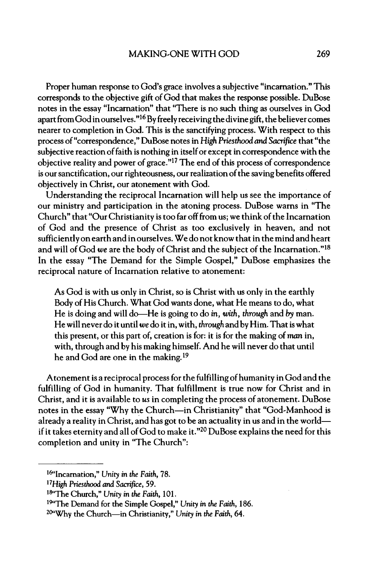Proper human response to God's grace involves a subjective "incarnation." This corresponds to the objective gift of God that makes the response possible. DuBose notes in the essay "Incarnation" that "There is no such thing as ourselves in God apart from God in ourselves." $16$  By freely receiving the divine gift, the believer comes nearer to completion in God. This is the sanctifying process. With respect to this process of"corcespondence," DuBose notes in *High Priesthood and Säfice* that "the subjective reaction of faith is nothing in itself or except in correspondence with the objective reality and power **of grace."!?** The end ofthis process of conespondence is our sanctification, our righteousness, our realization of the saving benefits offered objectively in Christ, our atonement with God.

Understanding the reciprocal Incarnation will help us see the importance of our ministry and participation in the atoning process. DuBose warns in "The Church" that "OurChristianity is too far offfrom us; we think ofthe Incarnation of God and the presence of Christ as too exclusively in heaven, and not sufficiently on earth and in ourselves. We do not know that in the mind and heart and will of God *we* are the body of Christ and the subject of the Incarnation."<sup>18</sup> In the essay "The Demand for the Simple Gospel," DuBose emphasizes the reciprocal nature of Incarnation relative to atonement:

As God is with us only in Christ, so is Christ with us only in the earthly Body of His Church. What God wants done, what He means to do, what He is doing and will do-He is going to do *in,* with, *through* and *by* man. He will never do it until we do it in, with, through and by Him. That is what this present, or this part of, creation is for it is for the making of*man* in, with, through and by his making himself. And he will never do that until he and God are one in the making.<sup>19</sup>

Atonement is a reciprocal process for the fulfilling of humanity in God and the fulfilling of God in humanity. That fulfillment is true now for Christ and in Christ, and it is available to *us* in completing the process of atonement. DuBose notes in the essay "Why the Church-in Christianity" that "God-Manhood is already a reality in Christ, and has got to be an actuality in us and in the world if it takes eternity and all of God to make it." $^{20}$  DuBose explains the need for this completion and unity in "The Church"

<sup>!^&#</sup>x27;Incarnation," Unity in *the* Faith, 78.

<sup>!7</sup>*High Pmsthood and Sacrifice*, 59.

<sup>18&</sup>quot;The Church," *Unity* in the Faith, 101.

<sup>19&</sup>quot;The Demand for the Simple Gospel,\*» *Unity* in *the* Faith, 186.

<sup>20&</sup>quot;Why the Church-in Christianity,»» *Unity* in *the* Faith, 64.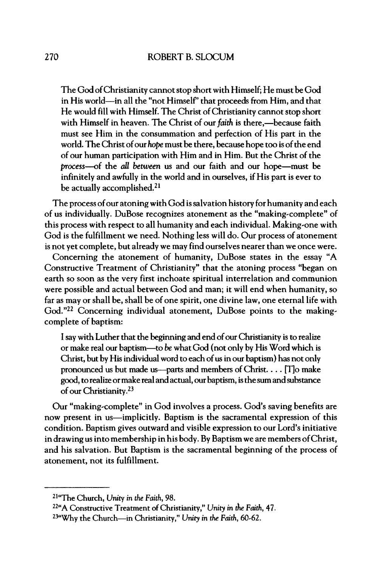The God of Christianity cannot stop short with Himself; He must be God in His world—in all the "not Himself' that proceeds from Him, and that He would fill with Himself. The Christ of Christianity cannot stop short with Himself in heaven. The Christ of our faith is there,—because faith must see Him in the consummation and perfection of His part in the world. The Christ of our *hope* must be there, because hope too is of the end of our human participation with Him and in Him. But the Christ of the *process*—of the *all between* us and our faith and our hope—must be infinitely and awhilly in the world and in ourselves, if His part is ever to be actually accomplished.<sup>21</sup>

The process of our atoning with God is salvation history for humanity and each of us individually. DuBose recognizes atonement as the "making-complete" of this process with respect to all humanity and each individual. Making-one with God is the fulfillment we need. Nothing less will do. Our process of atonement is not yet complete, but already we may find ourselves nearer than we once were.

Concerning the atonement of humanity, DuBose states in the essay "A Constructive Treatment of Christianity" that the atoning process "began on earth so soon as the very first inchoate spiritual interrelation and communion were possible and actual between God and man; it will end when humanity, so far as may or shall be, shall be of one spirit, one divine law, one eternal life with God."<sup>22</sup> Concerning individual atonement, DuBose points to the makingcomplete of baptism:

I say with Luther that the beginning and end of our Christianity is to realize or make real our baptism—to *be* what God (not only by His Word which is Christ, but by His individual word to each of us in our baptism) has not only pronounced **US** but made us-parts and members ofChrist. **. r**TJo make good, to realize or make real and actual, our baptism, is the sum and substance of our Christianity.<sup>23</sup>

Our "making-complete" in God involves a process. God's saving benefits are now present in **US—**implicitly. Baptism is the sacramental expression of this condition. Baptism gives outward and visible expression to our Lord's initiative in drawing **US** intomembership in his body. By Baptismwe are members ofChrist, and his salvation. But Baptism is the sacramental beginning of the process of atonement, not its fulfillment.

<sup>21&</sup>quot;The Church, *Unity in the Fmth*, 98.

<sup>22&</sup>quot; Constructive Treatment ofChristianity," *Unity in the Faith*, 47. <sup>23</sup>"Why the Church—in Christianity," Unity in the Faith, 60-62.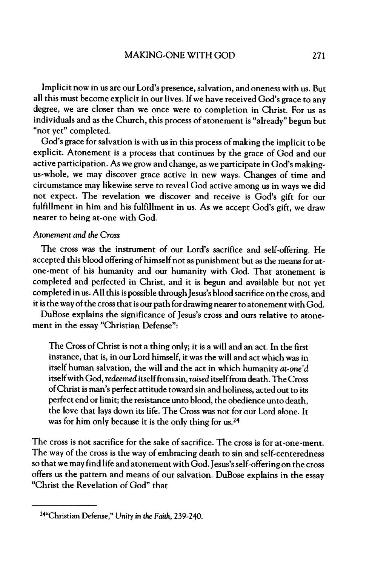Implicit now in us are our Lord's presence, salvation, and oneness with us. But all this must become explicit in our lives. If we have received God's grace to any degree, we are closer than we once were to completion in Christ. For us as individuals and as the Church, this process of atonement is "already" begun but "not yet" completed.

God's grace for salvation is with us in this process of making the implicit to be explicit. Atonement is a process that continues by the grace of God and our active participation. As we grow and change, as we participate in God's making us-whole, we may discover grace active in new ways. Changes of time and circumstance may likewise serve to reveal God active among **US** in ways we did not expect. The revelation we discover and receive is God's gift for our fulfillment in him and his fulfillment in us. As we accept God's gift, we draw nearer to being at-one with God.

#### Atonement *and the Cross*

The cross was the instrument of our Lord's sacrifice and self-offering. He accepted this blood offering of himself not as punishment but as the means for atone ment of his humanity and our humanity with God. That atonement is completed and perfected in Christ, and it is begun and available but not yet completed in us. All this is possible through Jesus's blood sacrifice on the cross, and it is the way of the cross that is our path for drawing nearer to atonement with God.

DuBose explains the significance of Jesus's cross and ours relative to atonement in the essay "Christian Defense":

The Cross of Christ is not a thing only; it is a will and an act. In the first instance, that is, in our Lord himself, it was the will and act which was in itself human salvation, the will and the act in which humanity  $at$ -one'd itself with God, *redeemed* itself from sin, *raised* itself from death. The Cross ofChrist is man's perfect attitude toward sin and holiness, acted out to its perfect end or limit; the resistance unto blood, the obedience unto death, the love that lays down its life. The Cross was not for our Lord alone. It was for him only because it is the only thing for us.<sup>24</sup>

The cross is not sacrifice for the sake of sacrifice. The cross is for at-one-ment. The way of the cross is the way of embracing death to sin and self-centeredness so that we may find life and atonement with God. Jesus's self-offering on the cross offers us the pattern and means of our salvation. DuBose explains in the essay "Christ the Revelation of God" that

<sup>&</sup>lt;sup>24</sup>"Christian Defense," Unity in the Faith, 239-240.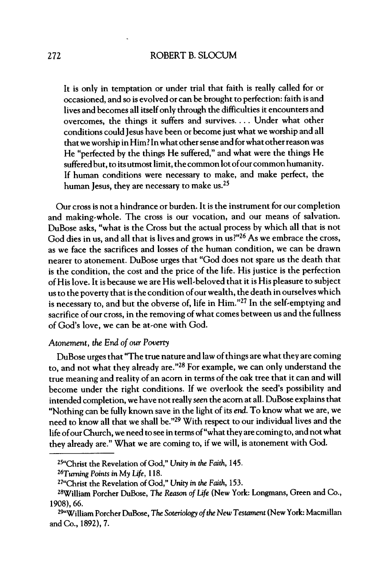It is only in temptation or under trial that faith is really called for or occasioned, and so is evolved or can be brought to perfection: faith is and lives and becomes all itselfonly through the difficulties it encounters and overcomes, the things it suffers and survives.**..** Under what other conditions could Jesus have been or become just what we worship and all that we worship in Him? In what other sense and for what other reason was He "perfected by the things He suffered," and what were the things He suffered but, to its utmost limit, the common lot of our common humanity. If human conditions were necessary to make, and make perfect, the human Jesus, they are necessary to make us. $25$ 

Our cross is not a hindrance or burden. It is the instrument for our completion and making-whole. The cross is our vocation, and our means of salvation. DuBose asks, "what is the Cross but the actual process by which all that is not God dies in us, and all that is lives and grows in us?"<sup>26</sup> As we embrace the cross, as we face the sacrifices and losses of the human **condition,** we can be drawn nearer to atonement. DuBose urges that "God does not spare us the death that is the condition, the cost and the price of the life. His justice is the perfection of His love. It is because we are His well-beloved that it is His pleasure to subiect us to the poverty that is the condition of our wealth, the death in ourselves which  $\frac{1}{10}$  is necessary to, and but the obverse of, life in Him."<sup>27</sup> In the self-emptying and sacrifice of our cross, in the removing of what comes between us and the fullness of God's love, we can be at-one with God.

#### *Atonement) the End ofour Poverty*

DuBose urges that "The true nature and law of things are what they are coming to, and not what they already **are."28** For example, we can only understand the true meaning and reality of an acorn in terms of the oak tree that it can and will become under the right conditions. If we overlook the seed's possibility and intended completion, we have notreally *seen* the acomat all. DuBose explains that "Nothing can be hilly known save in the light of its *end.* To know what we are, we need to know all that we shall be."<sup>29</sup> With respect to our individual lives and the life of our Church, we need to see in terms of "what they are coming to, and not what they already are." What we are coming to, if we will, is atonement with God.

**<sup>25&</sup>quot;Christ the Revelation ofGod,'\*** *Unity in the Fä)* **145.**

*<sup>26</sup>Turning Points in My Lifet* **<sup>1</sup> IS.**

**<sup>27&</sup>quot;Christ the Revelation ofGod,"** *Unity in the Fmthf* **155.**

**<sup>2»</sup>Wil iam Porcher DuBose,** *The Reason ofLife* **(New York: Longmans, Green and Co., 1908),66.**

**<sup>29&</sup>quot;Wiliam Porcher DuBose,** *The Soteriology ofthe NewTestament* **(NewYork: Macmillan and Co., 1892), 7.**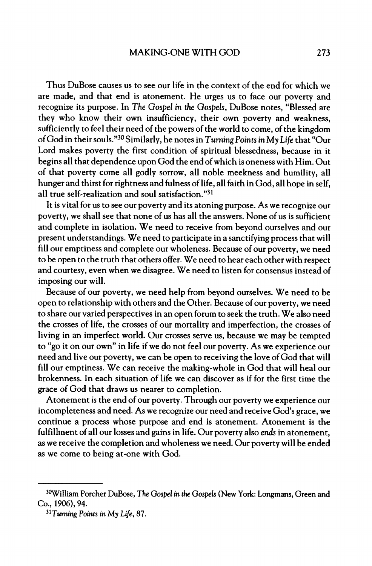Thus DuBose causes us to see our life in the context of the end for which we are made, and that end is atonement. He urges us to face our poverty and recognize its purpose. In *The Gospel in the* Gospels, DuBose notes, "Blessed are they who know their own insufficiency, their own poverty and weakness, sufficiently to feel their need of the powers of the world to come, of the kingdom ofGod in theirsouls "3 Similarly, he notes in *Turning*Points *in* My *Life* that "Our Lord makes poverty the first condition of spiritual blessedness, because in it begins all that dependence upon God the end ofwhich is oneness with Him. Out of that poverty come all godly sorrow, all noble meekness and humility, all hunger and thirst for rightness and fulness of life, all faith in God, all hope in self, all true self-realization and soul satisfaction." $31$ 

It is vital for us to see our poverty and its atoning purpose. As we recognize our poverty, we shall see that none of us has all the answers. None of us is sufficient and complete in isolation. We need to receive from beyond ourselves and our present understandings. We need to participate in a sanctifying processthat will fill our emptiness and complete our wholeness. Because of our poverty, we need to be open to the truth that others offer. We need to hear each other with respect and courtesy, even when we disagree. We need to listen for consensus instead of imposing our will.

Because of our poverty, we need help from beyond ourselves. We need to be open to relationship with others and the Other. Because ofour poverty, we need to share our varied perspectives in an open forum to seek the truth. We also need the crosses of life, the crosses of our mortality and imperfection, the crosses of living in an imperfect world. Our crosses serve us, because we may be tempted to "go it on our own" in life if we do not feel our poverty. As we experience our need and live our poverty, we can be open to receiving the love of God that will fill our emptiness. We can receive the making-whole in God that will heal our brokenness. In each situation of life we can discover as if for the first time the grace of God that draws us nearer to completion.

Atonement is the end of our poverty. Through our poverty we experience our incompleteness and need. As we recognize our need and receive God's grace, we continue a process whose purpose and end is atonement. Atonement is the fulfillment of all our losses and gains in life. Our poverty also *ends* in atonement, as we receive the completion and wholeness we need. Our poverty will be ended as we come to being at-one with God.

<sup>3</sup> William Porcher DuBose, *The Gospel in the Gospels* (New York: Longmans, Green and Co., 1906), 94.

*<sup>3</sup> Turning Points in My Ufet* 87.